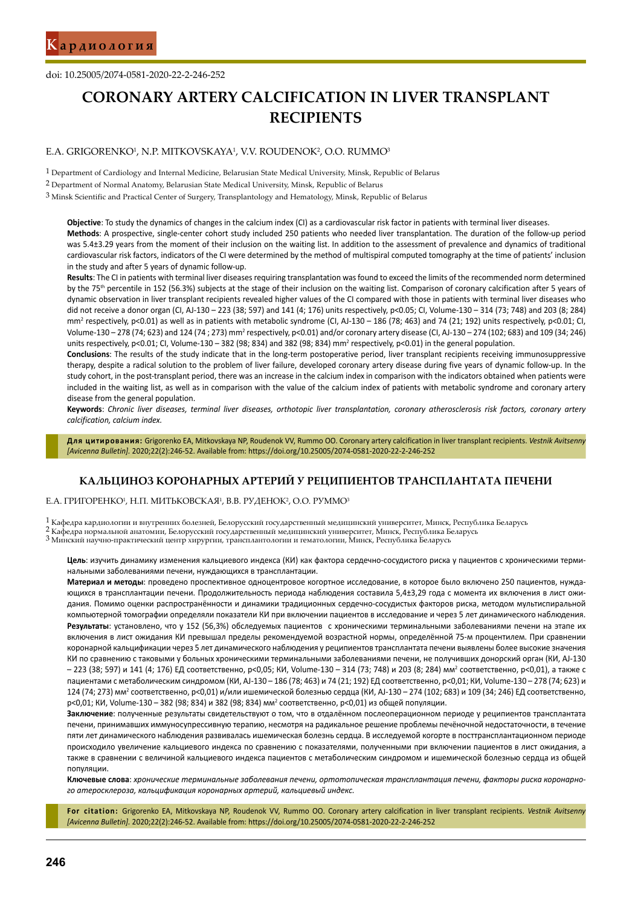doi: 10.25005/2074-0581-2020-22-2-246-252

# **CORONARY ARTERY CALCIFICATION IN LIVER TRANSPLANT RECIPIENTS**

#### E.A. GRIGORENKO<sup>1</sup>, N.P. MITKOVSKAYA<sup>1</sup>, V.V. ROUDENOK<sup>2</sup>, O.O. RUMMO<sup>3</sup>

1 Department of Cardiology and Internal Medicine, Belarusian State Medical University, Minsk, Republic of Belarus

3 Minsk Scientific and Practical Center of Surgery, Transplantology and Hematology, Minsk, Republic of Belarus

**Objective**: To study the dynamics of changes in the calcium index (CI) as a cardiovascular risk factor in patients with terminal liver diseases. **Methods**: A prospective, single-center cohort study included 250 patients who needed liver transplantation. The duration of the follow-up period was 5.4±3.29 years from the moment of their inclusion on the waiting list. In addition to the assessment of prevalence and dynamics of traditional cardiovascular risk factors, indicators of the CI were determined by the method of multispiral computed tomography at the time of patients' inclusion in the study and after 5 years of dynamic follow-up.

**Results**: The CI in patients with terminal liver diseases requiring transplantation was found to exceed the limits of the recommended norm determined by the 75th percentile in 152 (56.3%) subjects at the stage of their inclusion on the waiting list. Comparison of coronary calcification after 5 years of dynamic observation in liver transplant recipients revealed higher values of the CI compared with those in patients with terminal liver diseases who did not receive a donor organ (CI, AJ-130 – 223 (38; 597) and 141 (4; 176) units respectively, p<0.05; CI, Volume-130 – 314 (73; 748) and 203 (8; 284) mm<sup>2</sup> respectively, p<0.01) as well as in patients with metabolic syndrome (CI, AJ-130 – 186 (78; 463) and 74 (21; 192) units respectively, p<0.01; CI, Volume-130 – 278 (74; 623) and 124 (74; 273) mm<sup>2</sup> respectively, p<0.01) and/or coronary artery disease (CI, AJ-130 – 274 (102; 683) and 109 (34; 246) units respectively, p<0.01; CI, Volume-130 - 382 (98; 834) and 382 (98; 834) mm<sup>2</sup> respectively, p<0.01) in the general population.

**Conclusions**: The results of the study indicate that in the long-term postoperative period, liver transplant recipients receiving immunosuppressive therapy, despite a radical solution to the problem of liver failure, developed coronary artery disease during five years of dynamic follow-up. In the study cohort, in the post-transplant period, there was an increase in the calcium index in comparison with the indicators obtained when patients were included in the waiting list, as well as in comparison with the value of the calcium index of patients with metabolic syndrome and coronary artery disease from the general population.

**Keywords**: *Chronic liver diseases, terminal liver diseases, orthotopic liver transplantation, coronary atherosclerosis risk factors, coronary artery calcification, calcium index.*

**Для цитирования:** Grigorenko EA, Mitkovskaya NP, Roudenok VV, Rummo OO. Coronary artery calcification in liver transplant recipients. *Vestnik Avitsenny [Avicenna Bulletin].* 2020;22(2):246-52. Available from: https://doi.org/10.25005/2074-0581-2020-22-2-246-252

# **КАЛЬЦИНОЗ КОРОНАРНЫХ АРТЕРИЙ У РЕЦИПИЕНТОВ ТРАНСПЛАНТАТА ПЕЧЕНИ**

Е.А. ГРИГОРЕНКО', Н.П. МИТЬКОВСКАЯ', В.В. РУДЕНОК?, О.О. РУММО<sup>з</sup>

 $^1$ Кафедра кардиологии и внутренних болезней, Белорусский государственный медицинский университет, Минск, Республика Беларусь $^2$ Кафедра нормальной анатомии, Белорусский государственный медицинский университет, Минск, Р

**Цель**: изучить динамику изменения кальциевого индекса (КИ) как фактора сердечно-сосудистого риска у пациентов с хроническими терминальными заболеваниями печени, нуждающихся в трансплантации.

**Материал и методы**: проведено проспективное одноцентровое когортное исследование, в которое было включено 250 пациентов, нуждающихся в трансплантации печени. Продолжительность периода наблюдения составила 5,4±3,29 года с момента их включения в лист ожидания. Помимо оценки распространённости и динамики традиционных сердечно-сосудистых факторов риска, методом мультиспиральной компьютерной томографии определяли показатели КИ при включении пациентов в исследование и через 5 лет динамического наблюдения. **Результаты**: установлено, что у 152 (56,3%) обследуемых пациентов с хроническими терминальными заболеваниями печени на этапе их включения в лист ожидания КИ превышал пределы рекомендуемой возрастной нормы, определённой 75-м процентилем. При сравнении коронарной кальцификации через 5 лет динамического наблюдения у реципиентов трансплантата печени выявлены более высокие значения КИ по сравнению с таковыми у больных хроническими терминальными заболеваниями печени, не получивших донорский орган (КИ, AJ-130 – 223 (38; 597) и 141 (4; 176) ЕД соответственно, р<0,05; КИ, Volume-130 – 314 (73; 748) и 203 (8; 284) мм<sup>2</sup> соответственно, р<0,01), а также с пациентами с метаболическим синдромом (КИ, AJ-130 – 186 (78; 463) и 74 (21; 192) ЕД соответственно, р<0,01; КИ, Volume-130 – 278 (74; 623) и 124 (74; 273) мм<sup>2</sup> соответственно, p<0,01) и/или ишемической болезнью сердца (КИ, AJ-130 – 274 (102; 683) и 109 (34; 246) ЕД соответственно, р<0,01; КИ, Volume-130 – 382 (98; 834) и 382 (98; 834) мм<sup>2</sup> соответственно, р<0,01) из общей популяции.

**Заключение**: полученные результаты свидетельствуют о том, что в отдалённом послеоперационном периоде у реципиентов трансплантата печени, принимавших иммуносупрессивную терапию, несмотря на радикальное решение проблемы печёночной недостаточности, в течение пяти лет динамического наблюдения развивалась ишемическая болезнь сердца. В исследуемой когорте в посттрансплантационном периоде происходило увеличение кальциевого индекса по сравнению с показателями, полученными при включении пациентов в лист ожидания, а также в сравнении с величиной кальциевого индекса пациентов с метаболическим синдромом и ишемической болезнью сердца из общей популяции.

**Ключевые слова**: *хронические терминальные заболевания печени, ортотопическая трансплантация печени, факторы риска коронарного атеросклероза, кальцификация коронарных артерий, кальциевый индекс.*

**For citation:** Grigorenko EA, Mitkovskaya NP, Roudenok VV, Rummo OO. Coronary artery calcification in liver transplant recipients. *Vestnik Avitsenny [Avicenna Bulletin].* 2020;22(2):246-52. Available from: https://doi.org/10.25005/2074-0581-2020-22-2-246-252

<sup>2</sup> Department of Normal Anatomy, Belarusian State Medical University, Minsk, Republic of Belarus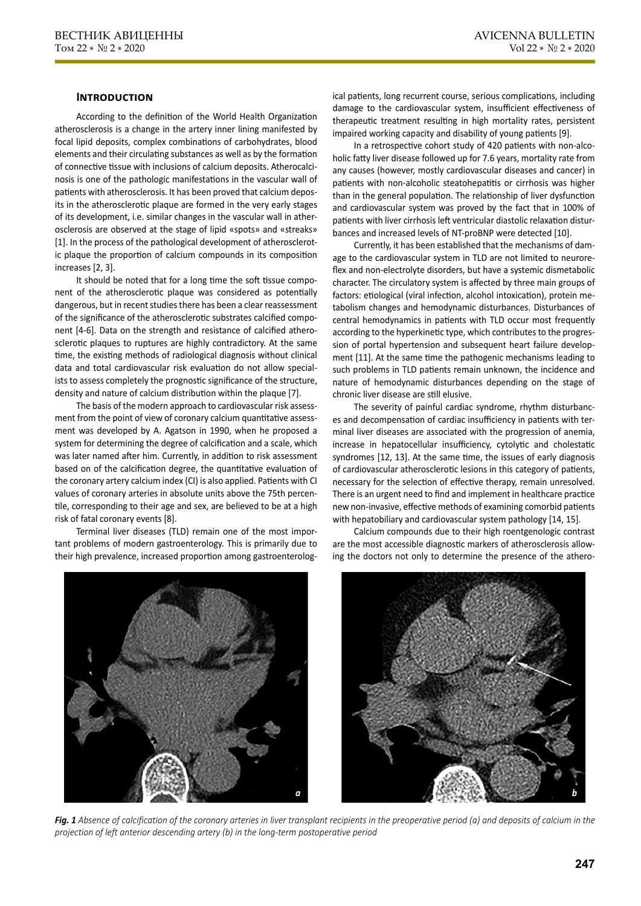# **Introduction**

According to the definition of the World Health Organization atherosclerosis is a change in the artery inner lining manifested by focal lipid deposits, complex combinations of carbohydrates, blood elements and their circulating substances as well as by the formation of connective tissue with inclusions of calcium deposits. Atherocalcinosis is one of the pathologic manifestations in the vascular wall of patients with atherosclerosis. It has been proved that calcium deposits in the atherosclerotic plaque are formed in the very early stages of its development, i.e. similar changes in the vascular wall in atherosclerosis are observed at the stage of lipid «spots» and «streaks» [1]. In the process of the pathological development of atherosclerotic plaque the proportion of calcium compounds in its composition increases [2, 3].

It should be noted that for a long time the soft tissue component of the atherosclerotic plaque was considered as potentially dangerous, but in recent studies there has been a clear reassessment of the significance of the atherosclerotic substrates calcified component [4-6]. Data on the strength and resistance of calcified atherosclerotic plaques to ruptures are highly contradictory. At the same time, the existing methods of radiological diagnosis without clinical data and total cardiovascular risk evaluation do not allow specialists to assess completely the prognostic significance of the structure, density and nature of calcium distribution within the plaque [7].

The basis of the modern approach to cardiovascular risk assessment from the point of view of coronary calcium quantitative assessment was developed by A. Agatson in 1990, when he proposed a system for determining the degree of calcification and a scale, which was later named after him. Currently, in addition to risk assessment based on of the calcification degree, the quantitative evaluation of the coronary artery calcium index (CI) is also applied. Patients with CI values of coronary arteries in absolute units above the 75th percentile, corresponding to their age and sex, are believed to be at a high risk of fatal coronary events [8].

Terminal liver diseases (TLD) remain one of the most important problems of modern gastroenterology. This is primarily due to their high prevalence, increased proportion among gastroenterolog-

ical patients, long recurrent course, serious complications, including damage to the cardiovascular system, insufficient effectiveness of therapeutic treatment resulting in high mortality rates, persistent impaired working capacity and disability of young patients [9].

In a retrospective cohort study of 420 patients with non-alcoholic fatty liver disease followed up for 7.6 years, mortality rate from any causes (however, mostly cardiovascular diseases and cancer) in patients with non-alcoholic steatohepatitis or cirrhosis was higher than in the general population. The relationship of liver dysfunction and cardiovascular system was proved by the fact that in 100% of patients with liver cirrhosis left ventricular diastolic relaxation disturbances and increased levels of NT-proBNP were detected [10].

Currently, it has been established that the mechanisms of damage to the cardiovascular system in TLD are not limited to neuroreflex and non-electrolyte disorders, but have a systemic dismetabolic character. The circulatory system is affected by three main groups of factors: etiological (viral infection, alcohol intoxication), protein metabolism changes and hemodynamic disturbances. Disturbances of central hemodynamics in patients with TLD occur most frequently according to the hyperkinetic type, which contributes to the progression of portal hypertension and subsequent heart failure development [11]. At the same time the pathogenic mechanisms leading to such problems in TLD patients remain unknown, the incidence and nature of hemodynamic disturbances depending on the stage of chronic liver disease are still elusive.

The severity of painful cardiac syndrome, rhythm disturbances and decompensation of cardiac insufficiency in patients with terminal liver diseases are associated with the progression of anemia, increase in hepatocellular insufficiency, cytolytic and cholestatic syndromes [12, 13]. At the same time, the issues of early diagnosis of cardiovascular atherosclerotic lesions in this category of patients, necessary for the selection of effective therapy, remain unresolved. There is an urgent need to find and implement in healthcare practice new non-invasive, effective methods of examining comorbid patients with hepatobiliary and cardiovascular system pathology [14, 15].

Calcium compounds due to their high roentgenologic contrast are the most accessible diagnostic markers of atherosclerosis allowing the doctors not only to determine the presence of the athero-





*Fig. 1 Absence of calcification of the coronary arteries in liver transplant recipients in the preoperative period (a) and deposits of calcium in the projection of left anterior descending artery (b) in the long-term postoperative period*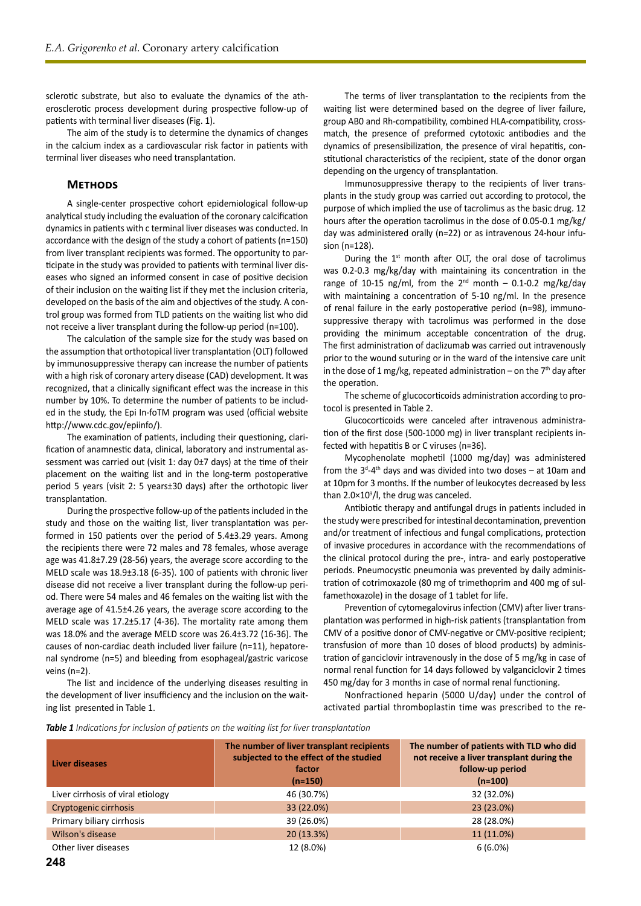sclerotic substrate, but also to evaluate the dynamics of the atherosclerotic process development during prospective follow-up of patients with terminal liver diseases (Fig. 1).

The aim of the study is to determine the dynamics of changes in the calcium index as a cardiovascular risk factor in patients with terminal liver diseases who need transplantation.

## **Methods**

A single-center prospective cohort epidemiological follow-up analytical study including the evaluation of the coronary calcification dynamics in patients with c terminal liver diseases was conducted. In accordance with the design of the study a cohort of patients (n=150) from liver transplant recipients was formed. The opportunity to participate in the study was provided to patients with terminal liver diseases who signed an informed consent in case of positive decision of their inclusion on the waiting list if they met the inclusion criteria, developed on the basis of the aim and objectives of the study. A control group was formed from TLD patients on the waiting list who did not receive a liver transplant during the follow-up period (n=100).

The calculation of the sample size for the study was based on the assumption that orthotopical liver transplantation (OLT) followed by immunosuppressive therapy can increase the number of patients with a high risk of coronary artery disease (CAD) development. It was recognized, that a clinically significant effect was the increase in this number by 10%. To determine the number of patients to be included in the study, the Epi In-foTM program was used (official website http://www.cdc.gov/epiinfo/).

The examination of patients, including their questioning, clarification of anamnestic data, clinical, laboratory and instrumental assessment was carried out (visit 1: day 0±7 days) at the time of their placement on the waiting list and in the long-term postoperative period 5 years (visit 2: 5 years±30 days) after the orthotopic liver transplantation.

During the prospective follow-up of the patients included in the study and those on the waiting list, liver transplantation was performed in 150 patients over the period of 5.4±3.29 years. Among the recipients there were 72 males and 78 females, whose average age was 41.8±7.29 (28-56) years, the average score according to the MELD scale was 18.9±3.18 (6-35). 100 of patients with chronic liver disease did not receive a liver transplant during the follow-up period. There were 54 males and 46 females on the waiting list with the average age of 41.5±4.26 years, the average score according to the MELD scale was 17.2±5.17 (4-36). The mortality rate among them was 18.0% and the average MELD score was 26.4±3.72 (16-36). The causes of non-cardiac death included liver failure (n=11), hepatorenal syndrome (n=5) and bleeding from esophageal/gastric varicose veins (n=2).

The list and incidence of the underlying diseases resulting in the development of liver insufficiency and the inclusion on the waiting list presented in Table 1.

The terms of liver transplantation to the recipients from the waiting list were determined based on the degree of liver failure, group AB0 and Rh-compatibility, combined HLA-compatibility, crossmatch, the presence of preformed cytotoxic antibodies and the dynamics of presensibilization, the presence of viral hepatitis, constitutional characteristics of the recipient, state of the donor organ depending on the urgency of transplantation.

Immunosuppressive therapy to the recipients of liver transplants in the study group was carried out according to protocol, the purpose of which implied the use of tacrolimus as the basic drug. 12 hours after the operation tacrolimus in the dose of 0.05-0.1 mg/kg/ day was administered orally (n=22) or as intravenous 24-hour infusion (n=128).

During the  $1<sup>st</sup>$  month after OLT, the oral dose of tacrolimus was 0.2-0.3 mg/kg/day with maintaining its concentration in the range of 10-15 ng/ml, from the  $2^{nd}$  month – 0.1-0.2 mg/kg/day with maintaining a concentration of 5-10 ng/ml. In the presence of renal failure in the early postoperative period (n=98), immunosuppressive therapy with tacrolimus was performed in the dose providing the minimum acceptable concentration of the drug. The first administration of daclizumab was carried out intravenously prior to the wound suturing or in the ward of the intensive care unit in the dose of 1 mg/kg, repeated administration – on the  $7<sup>th</sup>$  day after the operation.

The scheme of glucocorticoids administration according to protocol is presented in Table 2.

Glucocorticoids were canceled after intravenous administration of the first dose (500-1000 mg) in liver transplant recipients infected with hepatitis B or C viruses (n=36).

Mycophenolate mophetil (1000 mg/day) was administered from the  $3<sup>d</sup>-4<sup>th</sup>$  days and was divided into two doses – at 10am and at 10pm for 3 months. If the number of leukocytes decreased by less than  $2.0 \times 10^9$ /l, the drug was canceled.

Antibiotic therapy and antifungal drugs in patients included in the study were prescribed for intestinal decontamination, prevention and/or treatment of infectious and fungal complications, protection of invasive procedures in accordance with the recommendations of the clinical protocol during the pre-, intra- and early postoperative periods. Pneumocystic pneumonia was prevented by daily administration of cotrimoxazole (80 mg of trimethoprim and 400 mg of sulfamethoxazole) in the dosage of 1 tablet for life.

Prevention of cytomegalovirus infection (CMV) after liver transplantation was performed in high-risk patients (transplantation from CMV of a positive donor of CMV-negative or CMV-positive recipient; transfusion of more than 10 doses of blood products) by administration of ganciclovir intravenously in the dose of 5 mg/kg in case of normal renal function for 14 days followed by valganciclovir 2 times 450 mg/day for 3 months in case of normal renal functioning.

Nonfractioned heparin (5000 U/day) under the control of activated partial thromboplastin time was prescribed to the re-

*Table 1 Indications for inclusion of patients on the waiting list for liver transplantation*

| Liver diseases                    | The number of liver transplant recipients<br>subjected to the effect of the studied<br>factor<br>$(n=150)$ | The number of patients with TLD who did<br>not receive a liver transplant during the<br>follow-up period<br>$(n=100)$ |
|-----------------------------------|------------------------------------------------------------------------------------------------------------|-----------------------------------------------------------------------------------------------------------------------|
| Liver cirrhosis of viral etiology | 46 (30.7%)                                                                                                 | 32 (32.0%)                                                                                                            |
| Cryptogenic cirrhosis             | 33 (22.0%)                                                                                                 | 23 (23.0%)                                                                                                            |
| Primary biliary cirrhosis         | 39 (26.0%)                                                                                                 | 28 (28.0%)                                                                                                            |
| Wilson's disease                  | 20(13.3%)                                                                                                  | 11 (11.0%)                                                                                                            |
| Other liver diseases              | 12 (8.0%)                                                                                                  | $6(6.0\%)$                                                                                                            |
|                                   |                                                                                                            |                                                                                                                       |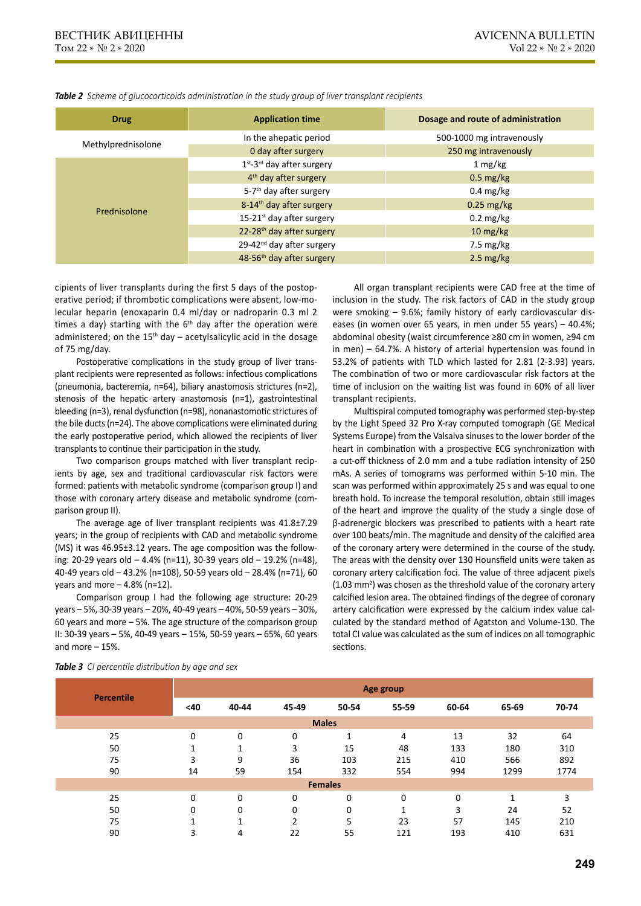| <b>Drug</b>        | <b>Application time</b>               | Dosage and route of administration |  |  |
|--------------------|---------------------------------------|------------------------------------|--|--|
|                    | In the ahepatic period                | 500-1000 mg intravenously          |  |  |
| Methylprednisolone | 0 day after surgery                   | 250 mg intravenously               |  |  |
|                    | 1st-3rd day after surgery             | $1 \text{ mg/kg}$                  |  |  |
| Prednisolone       | 4 <sup>th</sup> day after surgery     | $0.5 \text{ mg/kg}$                |  |  |
|                    | 5-7 <sup>th</sup> day after surgery   | $0.4 \text{ mg/kg}$                |  |  |
|                    | 8-14 <sup>th</sup> day after surgery  | $0.25$ mg/kg                       |  |  |
|                    | 15-21 <sup>st</sup> day after surgery | $0.2 \text{ mg/kg}$                |  |  |
|                    | 22-28 <sup>th</sup> day after surgery | $10 \text{ mg/kg}$                 |  |  |
|                    | 29-42 <sup>nd</sup> day after surgery | $7.5 \text{ mg/kg}$                |  |  |
|                    | 48-56 <sup>th</sup> day after surgery | $2.5 \text{ mg/kg}$                |  |  |

*Table 2 Scheme of glucocorticoids administration in the study group of liver transplant recipients*

cipients of liver transplants during the first 5 days of the postoperative period; if thrombotic complications were absent, low-molecular heparin (enoxaparin 0.4 ml/day or nadroparin 0.3 ml 2 times a day) starting with the  $6<sup>th</sup>$  day after the operation were administered; on the  $15<sup>th</sup>$  day – acetylsalicylic acid in the dosage of 75 mg/day.

Postoperative complications in the study group of liver transplant recipients were represented as follows: infectious complications (pneumonia, bacteremia, n=64), biliary anastomosis strictures (n=2), stenosis of the hepatic artery anastomosis (n=1), gastrointestinal bleeding (n=3), renal dysfunction (n=98), nonanastomotic strictures of the bile ducts (n=24). The above complications were eliminated during the early postoperative period, which allowed the recipients of liver transplants to continue their participation in the study.

Two comparison groups matched with liver transplant recipients by age, sex and traditional cardiovascular risk factors were formed: patients with metabolic syndrome (comparison group I) and those with coronary artery disease and metabolic syndrome (comparison group II).

The average age of liver transplant recipients was 41.8±7.29 years; in the group of recipients with CAD and metabolic syndrome (MS) it was 46.95±3.12 years. The age composition was the following: 20-29 years old – 4.4% (n=11), 30-39 years old – 19.2% (n=48), 40-49 years old – 43.2% (n=108), 50-59 years old – 28.4% (n=71), 60 years and more  $-4.8\%$  (n=12).

Comparison group I had the following age structure: 20-29 years – 5%, 30-39 years – 20%, 40-49 years – 40%, 50-59 years – 30%, 60 years and more – 5%. The age structure of the comparison group II: 30-39 years – 5%, 40-49 years – 15%, 50-59 years – 65%, 60 years and more – 15%.

All organ transplant recipients were CAD free at the time of inclusion in the study. The risk factors of CAD in the study group were smoking – 9.6%; family history of early cardiovascular diseases (in women over 65 years, in men under 55 years) – 40.4%; abdominal obesity (waist circumference ≥80 cm in women, ≥94 cm in men) – 64.7%. A history of arterial hypertension was found in 53.2% of patients with TLD which lasted for 2.81 (2-3.93) years. The combination of two or more cardiovascular risk factors at the time of inclusion on the waiting list was found in 60% of all liver transplant recipients.

Multispiral computed tomography was performed step-by-step by the Light Speed 32 Pro X-ray computed tomograph (GE Medical Systems Europe) from the Valsalva sinuses to the lower border of the heart in combination with a prospective ECG synchronization with a cut-off thickness of 2.0 mm and a tube radiation intensity of 250 mAs. A series of tomograms was performed within 5-10 min. The scan was performed within approximately 25 s and was equal to one breath hold. To increase the temporal resolution, obtain still images of the heart and improve the quality of the study a single dose of β-adrenergic blockers was prescribed to patients with a heart rate over 100 beats/min. The magnitude and density of the calcified area of the coronary artery were determined in the course of the study. The areas with the density over 130 Hounsfield units were taken as coronary artery calcification foci. The value of three adjacent pixels  $(1.03 \text{ mm}^2)$  was chosen as the threshold value of the coronary artery calcified lesion area. The obtained findings of the degree of coronary artery calcification were expressed by the calcium index value calculated by the standard method of Agatston and Volume-130. The total CI value was calculated as the sum of indices on all tomographic sections.

| <b>Percentile</b> | Age group   |             |               |       |                |       |                |       |
|-------------------|-------------|-------------|---------------|-------|----------------|-------|----------------|-------|
|                   | <40         | 40-44       | 45-49         | 50-54 | 55-59          | 60-64 | 65-69          | 70-74 |
| <b>Males</b>      |             |             |               |       |                |       |                |       |
| 25                | $\mathbf 0$ | $\mathbf 0$ | 0             |       | 4              | 13    | 32             | 64    |
| 50                |             | 1           | 3             | 15    | 48             | 133   | 180            | 310   |
| 75                | 3           | 9           | 36            | 103   | 215            | 410   | 566            | 892   |
| 90                | 14          | 59          | 154           | 332   | 554            | 994   | 1299           | 1774  |
| <b>Females</b>    |             |             |               |       |                |       |                |       |
| 25                | $\Omega$    | 0           | $\mathbf 0$   | 0     | $\mathbf 0$    | 0     | $\overline{ }$ | 3     |
| 50                | 0           | 0           | 0             | 0     | $\overline{ }$ | 3     | 24             | 52    |
| 75                |             | 1           | $\mathcal{D}$ | 5     | 23             | 57    | 145            | 210   |
| 90                | 3           | 4           | 22            | 55    | 121            | 193   | 410            | 631   |

*Table 3 CI percentile distribution by age and sex*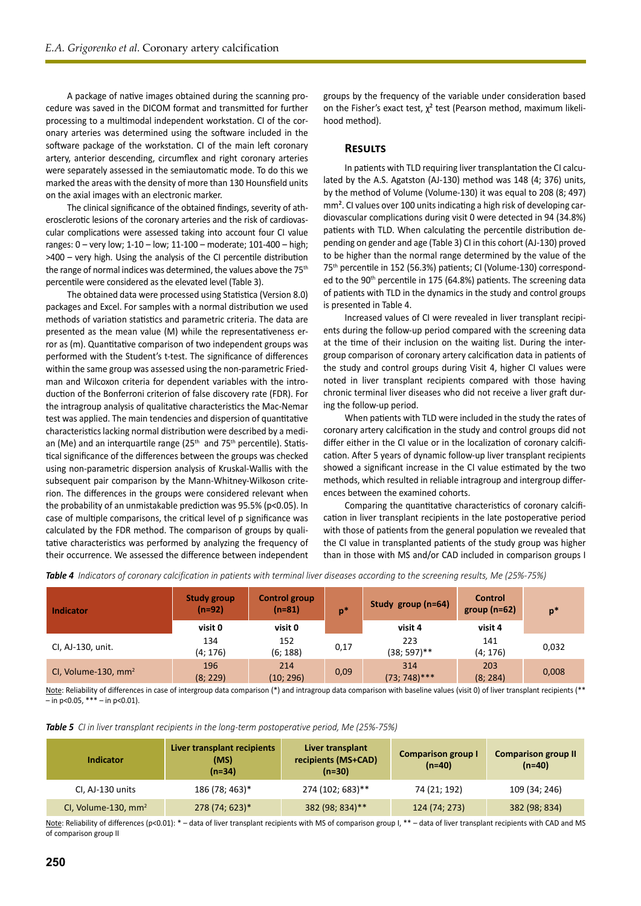A package of native images obtained during the scanning procedure was saved in the DICOM format and transmitted for further processing to a multimodal independent workstation. CI of the coronary arteries was determined using the software included in the software package of the workstation. CI of the main left coronary artery, anterior descending, circumflex and right coronary arteries were separately assessed in the semiautomatic mode. To do this we marked the areas with the density of more than 130 Hounsfield units on the axial images with an electronic marker.

The clinical significance of the obtained findings, severity of atherosclerotic lesions of the coronary arteries and the risk of cardiovascular complications were assessed taking into account four CI value ranges: 0 – very low; 1-10 – low; 11-100 – moderate; 101-400 – high; >400 – very high. Using the analysis of the CI percentile distribution the range of normal indices was determined, the values above the 75<sup>th</sup> percentile were considered as the elevated level (Table 3).

The obtained data were processed using Statistica (Version 8.0) packages and Excel. For samples with a normal distribution we used methods of variation statistics and parametric criteria. The data are presented as the mean value (M) while the representativeness error as (m). Quantitative comparison of two independent groups was performed with the Student's t-test. The significance of differences within the same group was assessed using the non-parametric Friedman and Wilcoxon criteria for dependent variables with the introduction of the Bonferroni criterion of false discovery rate (FDR). For the intragroup analysis of qualitative characteristics the Mac-Nemar test was applied. The main tendencies and dispersion of quantitative characteristics lacking normal distribution were described by a median (Me) and an interquartile range  $(25<sup>th</sup>$  and  $75<sup>th</sup>$  percentile). Statistical significance of the differences between the groups was checked using non-parametric dispersion analysis of Kruskal-Wallis with the subsequent pair comparison by the Mann-Whitney-Wilkoson criterion. The differences in the groups were considered relevant when the probability of an unmistakable prediction was 95.5% (p<0.05). In case of multiple comparisons, the critical level of p significance was calculated by the FDR method. The comparison of groups by qualitative characteristics was performed by analyzing the frequency of their occurrence. We assessed the difference between independent

groups by the frequency of the variable under consideration based on the Fisher's exact test,  $\chi^2$  test (Pearson method, maximum likelihood method).

## **Results**

In patients with TLD requiring liver transplantation the CI calculated by the A.S. Agatston (AJ-130) method was 148 (4; 376) units, by the method of Volume (Volume-130) it was equal to 208 (8; 497) mm². CI values over 100 units indicating a high risk of developing cardiovascular complications during visit 0 were detected in 94 (34.8%) patients with TLD. When calculating the percentile distribution depending on gender and age (Table 3) CI in this cohort (AJ-130) proved to be higher than the normal range determined by the value of the 75th percentile in 152 (56.3%) patients; CI (Volume-130) corresponded to the 90<sup>th</sup> percentile in 175 (64.8%) patients. The screening data of patients with TLD in the dynamics in the study and control groups is presented in Table 4.

Increased values of CI were revealed in liver transplant recipients during the follow-up period compared with the screening data at the time of their inclusion on the waiting list. During the intergroup comparison of coronary artery calcification data in patients of the study and control groups during Visit 4, higher CI values were noted in liver transplant recipients compared with those having chronic terminal liver diseases who did not receive a liver graft during the follow-up period.

When patients with TLD were included in the study the rates of coronary artery calcification in the study and control groups did not differ either in the CI value or in the localization of coronary calcification. After 5 years of dynamic follow-up liver transplant recipients showed a significant increase in the CI value estimated by the two methods, which resulted in reliable intragroup and intergroup differences between the examined cohorts.

Comparing the quantitative characteristics of coronary calcification in liver transplant recipients in the late postoperative period with those of patients from the general population we revealed that the CI value in transplanted patients of the study group was higher than in those with MS and/or CAD included in comparison groups I

| <b>Indicator</b>                | <b>Study group</b><br>(n=92) | <b>Control group</b><br>$(n=81)$ | $\mathsf{p}^*$ | Study group $(n=64)$   | <b>Control</b><br>group $(n=62)$ | $p*$  |  |
|---------------------------------|------------------------------|----------------------------------|----------------|------------------------|----------------------------------|-------|--|
|                                 | visit 0                      | visit 0                          |                | visit 4                | visit 4                          |       |  |
| CI, AJ-130, unit.               | 134<br>(4; 176)              | 152<br>(6; 188)                  | 0,17           | 223<br>$(38; 597)$ **  | 141<br>(4; 176)                  | 0,032 |  |
| CI, Volume-130, mm <sup>2</sup> | 196<br>(8; 229)              | 214<br>(10; 296)                 | 0,09           | 314<br>$(73; 748)$ *** | 203<br>(8; 284)                  | 0,008 |  |

*Table 4 Indicators of coronary calcification in patients with terminal liver diseases according to the screening results, Me (25%-75%)*

Note: Reliability of differences in case of intergroup data comparison (\*) and intragroup data comparison with baseline values (visit 0) of liver transplant recipients (\*\*  $\frac{1}{\pi}$  p < 0.05, \*\*\* – in p < 0.01).

*Table 5 CI in liver transplant recipients in the long-term postoperative period, Me (25%-75%)*

| Indicator                       | Liver transplant recipients<br>(MS)<br>$(n=34)$ | Liver transplant<br>recipients (MS+CAD)<br>$(n=30)$ | <b>Comparison group I</b><br>$(n=40)$ | <b>Comparison group II</b><br>$(n=40)$ |  |
|---------------------------------|-------------------------------------------------|-----------------------------------------------------|---------------------------------------|----------------------------------------|--|
| CI, AJ-130 units                | 186 (78; 463)*                                  | 274 (102; 683)**                                    | 74 (21; 192)                          | 109 (34; 246)                          |  |
| CI, Volume-130, mm <sup>2</sup> | 278 (74; 623)*                                  | 382 (98; 834)**                                     | 124 (74; 273)                         | 382 (98; 834)                          |  |

Note: Reliability of differences (p<0.01): \* - data of liver transplant recipients with MS of comparison group I, \*\* - data of liver transplant recipients with CAD and MS of comparison group II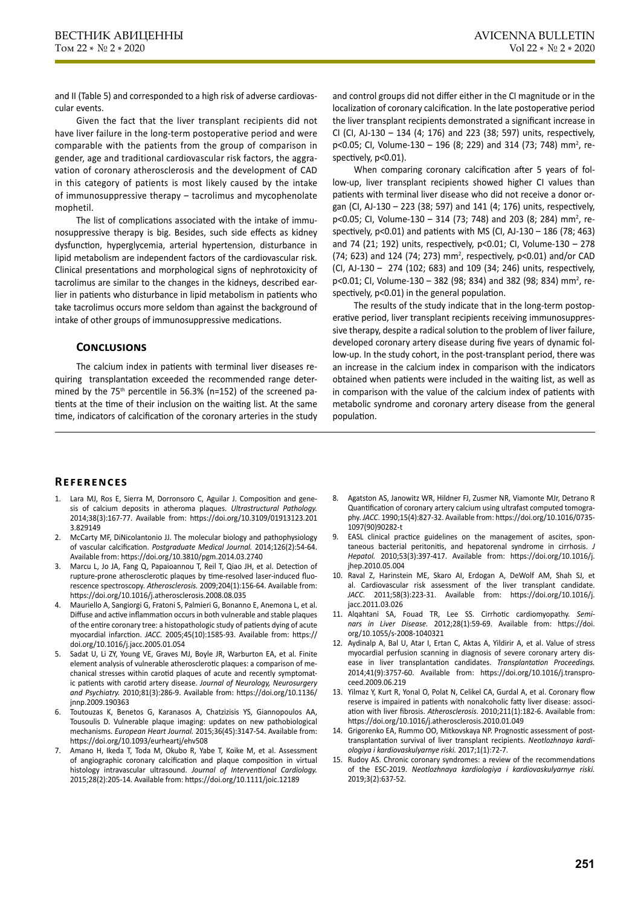and II (Table 5) and corresponded to a high risk of adverse cardiovascular events.

Given the fact that the liver transplant recipients did not have liver failure in the long-term postoperative period and were comparable with the patients from the group of comparison in gender, age and traditional cardiovascular risk factors, the aggravation of coronary atherosclerosis and the development of CAD in this category of patients is most likely caused by the intake of immunosuppressive therapy – tacrolimus and mycophenolate mophetil.

The list of complications associated with the intake of immunosuppressive therapy is big. Besides, such side effects as kidney dysfunction, hyperglycemia, arterial hypertension, disturbance in lipid metabolism are independent factors of the cardiovascular risk. Clinical presentations and morphological signs of nephrotoxicity of tacrolimus are similar to the changes in the kidneys, described earlier in patients who disturbance in lipid metabolism in patients who take tacrolimus occurs more seldom than against the background of intake of other groups of immunosuppressive medications.

### **Conclusions**

The calcium index in patients with terminal liver diseases requiring transplantation exceeded the recommended range determined by the 75<sup>th</sup> percentile in 56.3% (n=152) of the screened patients at the time of their inclusion on the waiting list. At the same time, indicators of calcification of the coronary arteries in the study

and control groups did not differ either in the CI magnitude or in the localization of coronary calcification. In the late postoperative period the liver transplant recipients demonstrated a significant increase in CI (CI, AJ-130 – 134 (4; 176) and 223 (38; 597) units, respectively, p<0.05; CI, Volume-130 – 196 (8; 229) and 314 (73; 748) mm<sup>2</sup>, respectively, p<0.01).

When comparing coronary calcification after 5 years of follow-up, liver transplant recipients showed higher CI values than patients with terminal liver disease who did not receive a donor organ (CI, AJ-130 – 223 (38; 597) and 141 (4; 176) units, respectively, p<0.05; CI, Volume-130 - 314 (73; 748) and 203 (8; 284) mm<sup>2</sup>, respectively,  $p < 0.01$ ) and patients with MS (CI, AJ-130 – 186 (78; 463) and 74 (21; 192) units, respectively, p<0.01; CI, Volume-130 – 278  $(74; 623)$  and 124  $(74; 273)$  mm<sup>2</sup>, respectively, p<0.01) and/or CAD (CI, AJ-130 – 274 (102; 683) and 109 (34; 246) units, respectively, p<0.01; CI, Volume-130 - 382 (98; 834) and 382 (98; 834) mm<sup>2</sup>, respectively, p<0.01) in the general population.

The results of the study indicate that in the long-term postoperative period, liver transplant recipients receiving immunosuppressive therapy, despite a radical solution to the problem of liver failure, developed coronary artery disease during five years of dynamic follow-up. In the study cohort, in the post-transplant period, there was an increase in the calcium index in comparison with the indicators obtained when patients were included in the waiting list, as well as in comparison with the value of the calcium index of patients with metabolic syndrome and coronary artery disease from the general population.

# **References**

- 1. Lara MJ, Ros E, Sierra M, Dorronsoro C, Aguilar J. Composition and genesis of calcium deposits in atheroma plaques. *Ultrastructural Pathology.*  2014;38(3):167-77. Available from: https://doi.org/10.3109/01913123.201 3.829149
- 2. McCarty MF, DiNicolantonio JJ. The molecular biology and pathophysiology of vascular calcification. *Postgraduate Medical Journal.* 2014;126(2):54-64. Available from: https://doi.org/10.3810/pgm.2014.03.2740
- 3. Marcu L, Jo JA, Fang Q, Papaioannou T, Reil T, Qiao JH, et al. Detection of rupture-prone atherosclerotic plaques by time-resolved laser-induced fluorescence spectroscopy. *Atherosclerosis.* 2009;204(1):156-64. Available from: https://doi.org/10.1016/j.atherosclerosis.2008.08.035
- 4. Mauriello A, Sangiorgi G, Fratoni S, Palmieri G, Bonanno E, Anemona L, et al. Diffuse and active inflammation occurs in both vulnerable and stable plaques of the entire coronary tree: a histopathologic study of patients dying of acute myocardial infarction. *JACC.* 2005;45(10):1585-93. Available from: https:// doi.org/10.1016/j.jacc.2005.01.054
- 5. Sadat U, Li ZY, Young VE, Graves MJ, Boyle JR, Warburton EA, et al. Finite element analysis of vulnerable atherosclerotic plaques: a comparison of mechanical stresses within carotid plaques of acute and recently symptomatic patients with carotid artery disease. *Journal of Neurology, Neurosurgery and Psychiatry.* 2010;81(3):286-9. Available from: https://doi.org/10.1136/ jnnp.2009.190363
- 6. Toutouzas K, Benetos G, Karanasos A, Chatzizisis YS, Giannopoulos AA, Tousoulis D. Vulnerable plaque imaging: updates on new pathobiological mechanisms. *European Heart Journal.* 2015;36(45):3147-54. Available from: https://doi.org/10.1093/eurheartj/ehv508
- 7. Amano H, Ikeda T, Toda M, Okubo R, Yabe T, Koike M, et al. Assessment of angiographic coronary calcification and plaque composition in virtual histology intravascular ultrasound. *Journal of Interventional Cardiology.*  2015;28(2):205-14. Available from: https://doi.org/10.1111/joic.12189
- 8. Agatston AS, Janowitz WR, Hildner FJ, Zusmer NR, Viamonte MJr, Detrano R Quantification of coronary artery calcium using ultrafast computed tomography. *JACC*. 1990;15(4):827-32. Available from: https://doi.org/10.1016/0735- 1097(90)90282-t
- EASL clinical practice guidelines on the management of ascites, spontaneous bacterial peritonitis, and hepatorenal syndrome in cirrhosis. *J Hepatol.* 2010;53(3):397-417. Available from: https://doi.org/10.1016/j. jhep.2010.05.004
- 10. Raval Z, Harinstein ME, Skaro AI, Erdogan A, DeWolf AM, Shah SJ, et al. Cardiovascular risk assessment of the liver transplant candidate. *JACC*. 2011;58(3):223-31. Available from: https://doi.org/10.1016/j. jacc.2011.03.026
- 11. Alqahtani SA, Fouad TR, Lee SS. Cirrhotic cardiomyopathy. *Seminars in Liver Disease.* 2012;28(1):59-69. Available from: https://doi. org/10.1055/s-2008-1040321
- 12. Aydinalp A, Bal U, Atar I, Ertan C, Aktas A, Yildirir A, et al. Value of stress myocardial perfusion scanning in diagnosis of severe coronary artery disease in liver transplantation candidates. *Transplantation Proceedings.*  2014;41(9):3757-60. Available from: https://doi.org/10.1016/j.transproceed.2009.06.219
- 13. Yilmaz Y, Kurt R, Yonal O, Polat N, Celikel CA, Gurdal A, et al. Coronary flow reserve is impaired in patients with nonalcoholic fatty liver disease: association with liver fibrosis. *Atherosclerosis*. 2010;211(1):182-6. Available from: https://doi.org/10.1016/j.atherosclerosis.2010.01.049
- 14. Grigorenko EA, Rummo OO, Mitkovskaya NP. Prognostic assessment of posttransplantation survival of liver transplant recipients. *Neotlozhnaya kardiologiya i kardiovaskulyarnye riski.* 2017;1(1):72-7.
- 15. Rudoy AS. Chronic coronary syndromes: a review of the recommendations of the ESC-2019. *Neotlozhnaya kardiologiya i kardiovaskulyarnye riski.*  2019;3(2):637-52.